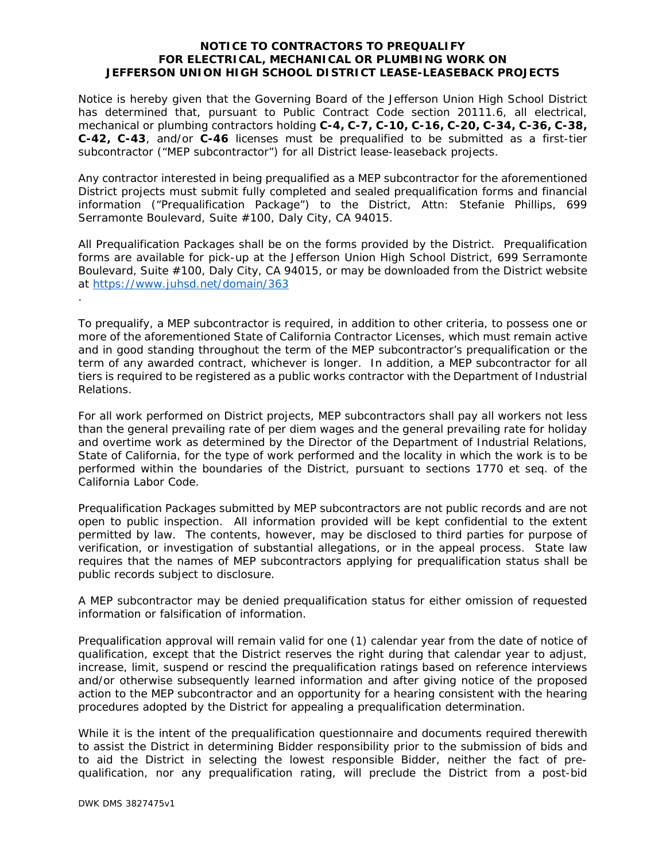## **NOTICE TO CONTRACTORS TO PREQUALIFY FOR ELECTRICAL, MECHANICAL OR PLUMBING WORK ON JEFFERSON UNION HIGH SCHOOL DISTRICT LEASE-LEASEBACK PROJECTS**

Notice is hereby given that the Governing Board of the Jefferson Union High School District has determined that, pursuant to Public Contract Code section 20111.6, all electrical, mechanical or plumbing contractors holding **C-4, C-7, C-10, C-16, C-20, C-34, C-36, C-38, C-42, C-43**, and/or **C-46** licenses must be prequalified to be submitted as a first-tier subcontractor ("MEP subcontractor") for all District lease-leaseback projects.

Any contractor interested in being prequalified as a MEP subcontractor for the aforementioned District projects must submit fully completed and sealed prequalification forms and financial information ("Prequalification Package") to the District, Attn: Stefanie Phillips, 699 Serramonte Boulevard, Suite #100, Daly City, CA 94015.

All Prequalification Packages shall be on the forms provided by the District. Prequalification forms are available for pick-up at the Jefferson Union High School District, 699 Serramonte Boulevard, Suite #100, Daly City, CA 94015, or may be downloaded from the District website at https://www.juhsd.net/domain/363

To prequalify, a MEP subcontractor is required, in addition to other criteria, to possess one or more of the aforementioned State of California Contractor Licenses, which must remain active and in good standing throughout the term of the MEP subcontractor's prequalification or the term of any awarded contract, whichever is longer. In addition, a MEP subcontractor for all tiers is required to be registered as a public works contractor with the Department of Industrial Relations.

For all work performed on District projects, MEP subcontractors shall pay all workers not less than the general prevailing rate of per diem wages and the general prevailing rate for holiday and overtime work as determined by the Director of the Department of Industrial Relations, State of California, for the type of work performed and the locality in which the work is to be performed within the boundaries of the District, pursuant to sections 1770 *et seq*. of the California Labor Code.

Prequalification Packages submitted by MEP subcontractors are not public records and are not open to public inspection. All information provided will be kept confidential to the extent permitted by law. The contents, however, may be disclosed to third parties for purpose of verification, or investigation of substantial allegations, or in the appeal process. State law requires that the names of MEP subcontractors applying for prequalification status shall be public records subject to disclosure.

A MEP subcontractor may be denied prequalification status for either omission of requested information or falsification of information.

Prequalification approval will remain valid for one (1) calendar year from the date of notice of qualification, except that the District reserves the right during that calendar year to adjust, increase, limit, suspend or rescind the prequalification ratings based on reference interviews and/or otherwise subsequently learned information and after giving notice of the proposed action to the MEP subcontractor and an opportunity for a hearing consistent with the hearing procedures adopted by the District for appealing a prequalification determination.

While it is the intent of the prequalification questionnaire and documents required therewith to assist the District in determining Bidder responsibility prior to the submission of bids and to aid the District in selecting the lowest responsible Bidder, neither the fact of prequalification, nor any prequalification rating, will preclude the District from a post-bid

.